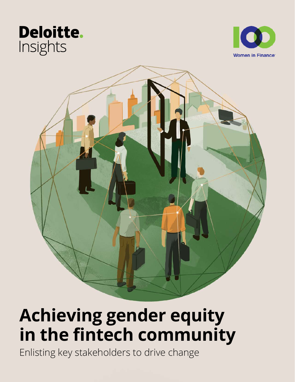# **Deloitte.** Insights





# **Achieving gender equity in the fintech community**

Enlisting key stakeholders to drive change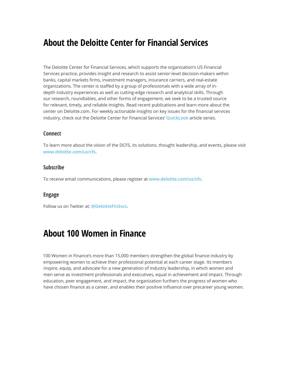## **About the Deloitte Center for Financial Services**

The Deloitte Center for Financial Services, which supports the organization's US Financial Services practice, provides insight and research to assist senior-level decision-makers within banks, capital markets firms, investment managers, insurance carriers, and real-estate organizations. The center is staffed by a group of professionals with a wide array of indepth industry experiences as well as cutting-edge research and analytical skills. Through our research, roundtables, and other forms of engagement, we seek to be a trusted source for relevant, timely, and reliable insights. Read recent publications and learn more about the center on Deloitte.com. For weekly actionable insights on key issues for the financial services industry, check out the Deloitte Center for Financial Services' **[QuickLook](https://www2.deloitte.com/us/en/pages/financial-services/topics/quicklook-financial-services-industry-blog.html)** article series.

### **Connect**

To learn more about the vision of the DCFS, its solutions, thought leadership, and events, please visit **[www.deloitte.com/us/cfs](http://www.deloitte.com/us/cfs)**.

### **Subscribe**

To receive email communications, please register at **[www.deloitte.com/us/cfs](http://www.deloitte.com/us/cfs)**.

### **Engage**

Follow us on Twitter at: **[@DeloitteFinSvcs](https://twitter.com/DeloitteFinSvcs)**.

## **About 100 Women in Finance**

100 Women in Finance's more than 15,000 members strengthen the global finance industry by empowering women to achieve their professional potential at each career stage. Its members inspire, equip, and advocate for a new generation of industry leadership, in which women and men serve as investment professionals and executives, equal in achievement and impact. Through education, peer engagement, and impact, the organization furthers the progress of women who have chosen finance as a career, and enables their positive influence over precareer young women.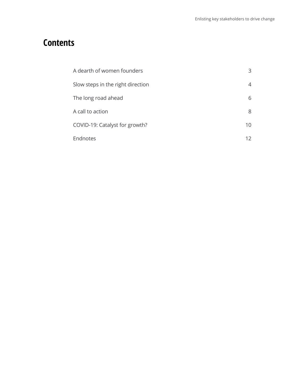## **Contents**

| A dearth of women founders        | 3  |
|-----------------------------------|----|
| Slow steps in the right direction | 4  |
| The long road ahead               | 6  |
| A call to action                  | 8  |
| COVID-19: Catalyst for growth?    | 10 |
| Endnotes                          |    |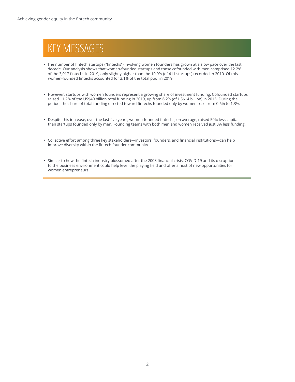# KEY MESSAGES

- The number of fintech startups ("fintechs") involving women founders has grown at a slow pace over the last decade. Our analysis shows that women-founded startups and those cofounded with men comprised 12.2% of the 3,017 fintechs in 2019, only slightly higher than the 10.9% (of 411 startups) recorded in 2010. Of this, women-founded fintechs accounted for 3.1% of the total pool in 2019.
- However, startups with women founders represent a growing share of investment funding. Cofounded startups raised 11.2% of the US\$40 billion total funding in 2019, up from 6.2% (of US\$14 billion) in 2015. During the period, the share of total funding directed toward fintechs founded only by women rose from 0.6% to 1.3%.
- Despite this increase, over the last five years, women-founded fintechs, on average, raised 50% less capital than startups founded only by men. Founding teams with both men and women received just 3% less funding.
- Collective effort among three key stakeholders—investors, founders, and financial institutions—can help improve diversity within the fintech founder community.
- Similar to how the fintech industry blossomed after the 2008 financial crisis, COVID-19 and its disruption to the business environment could help level the playing field and offer a host of new opportunities for women entrepreneurs.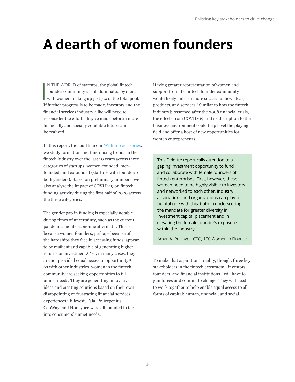# <span id="page-4-0"></span>**A dearth of women founders**

I<br>I<br>I<br>I N THE WORLD of startups, the global fintech founder community is still dominated by men, with women making up just 7% of the total pool.<sup>1</sup> If further progress is to be made, investors and the financial services industry alike will need to reconsider the efforts they've made before a more financially and socially equitable future can be realized.

In this report, the fourth in our [Within reach series](https://www2.deloitte.com/us/en/insights/industry/financial-services/women-in-financial-services.html), we study formation and fundraising trends in the fintech industry over the last 10 years across three categories of startups: women-founded, menfounded, and cofounded (startups with founders of both genders). Based on preliminary numbers, we also analyze the impact of COVID-19 on fintech funding activity during the first half of 2020 across the three categories.

The gender gap in funding is especially notable during times of uncertainty, such as the current pandemic and its economic aftermath. This is because women founders, perhaps because of the hardships they face in accessing funds, appear to be resilient and capable of generating higher returns on investment.<sup>2</sup> Yet, in many cases, they are not provided equal access to opportunity.<sup>3</sup> As with other industries, women in the fintech community are seeking opportunities to fill unmet needs. They are generating innovative ideas and creating solutions based on their own disappointing or frustrating financial services experiences.<sup>4</sup> Ellevest, Tala, Policygenius, CapWay, and Honeybee were all founded to tap into consumers' unmet needs.

Having greater representation of women and support from the fintech founder community would likely unleash more successful new ideas, products, and services.<sup>5</sup> Similar to how the fintech industry blossomed after the 2008 financial crisis, the effects from COVID-19 and its disruption to the business environment could help level the playing field and offer a host of new opportunities for women entrepreneurs.

"This Deloitte report calls attention to a gaping investment opportunity to fund and collaborate with female founders of fintech enterprises. First, however, these women need to be highly visible to investors and networked to each other. Industry associations and organizations can play a helpful role with this, both in underscoring the mandate for greater diversity in investment capital placement and in elevating the female founder's exposure within the industry."

Amanda Pullinger, CEO, 100 Women in Finance

To make that aspiration a reality, though, three key stakeholders in the fintech ecosystem—investors, founders, and financial institutions—will have to join forces and commit to change. They will need to work together to help enable equal access to all forms of capital: human, financial, and social.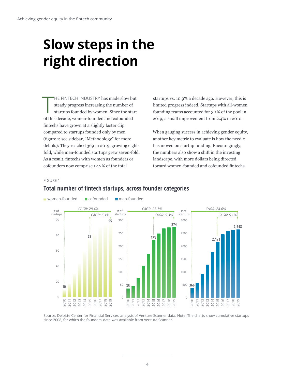# <span id="page-5-0"></span>**Slow steps in the right direction**

 $\prod$ HE FINTECH INDUSTRY has made slow but steady progress increasing the number of startups founded by women. Since the start of this decade, women-founded and cofounded fintechs have grown at a slightly faster clip compared to startups founded only by men (figure 1; see sidebar, "Methodology" for more details): They reached 369 in 2019, growing eightfold, while men-founded startups grew seven-fold. As a result, fintechs with women as founders or cofounders now comprise 12.2% of the total

startups vs. 10.9% a decade ago. However, this is limited progress indeed. Startups with all-women founding teams accounted for 3.1% of the pool in 2019, a small improvement from 2.4% in 2010.

When gauging success in achieving gender equity, another key metric to evaluate is how the needle has moved on startup funding. Encouragingly, the numbers also show a shift in the investing landscape, with more dollars being directed toward women-founded and cofounded fintechs.

### FIGURE 1



## **Total number of fintech startups, across founder categories**

Source: Deloitte Center for Financial Services' analysis of Venture Scanner data; Note: The charts show cumulative startups since 2008, for which the founders' data was available from Venture Scanner.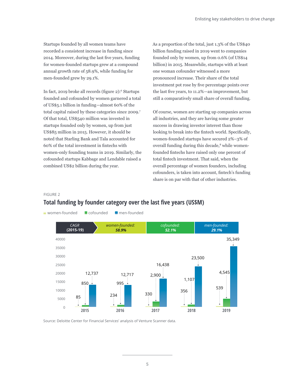Startups founded by all women teams have recorded a consistent increase in funding since 2014. Moreover, during the last five years, funding for women-founded startups grew at a compound annual growth rate of 58.9%, while funding for men-founded grew by 29.1%.

In fact, 2019 broke all records (figure 2):<sup>6</sup> Startups founded and cofounded by women garnered a total of US\$5.1 billion in funding—almost 60% of the total capital raised by these categories since 2009.7 Of that total, US\$540 million was invested in startups founded only by women, up from just US\$85 million in 2015. However, it should be noted that Starling Bank and Tala accounted for 60% of the total investment in fintechs with women-only founding teams in 2019. Similarly, the cofounded startups Kabbage and Lendable raised a combined US\$2 billion during the year.

As a proportion of the total, just 1.3% of the US\$40 billion funding raised in 2019 went to companies founded only by women, up from 0.6% (of US\$14 billion) in 2015. Meanwhile, startups with at least one woman cofounder witnessed a more pronounced increase. Their share of the total investment pot rose by five percentage points over the last five years, to 11.2%—an improvement, but still a comparatively small share of overall funding.

Of course, women are starting up companies across all industries, and they are having some greater success in drawing investor interest than those looking to break into the fintech world. Specifically, women-founded startups have secured 2%–3% of overall funding during this decade,<sup>8</sup> while womenfounded fintechs have raised only one percent of total fintech investment. That said, when the overall percentage of women founders, including cofounders, is taken into account, fintech's funding share is on par with that of other industries.

#### FIGURE 2

## **Total funding by founder category over the last five years (US\$M)**



Source: Deloitte Center for Financial Services' analysis of Venture Scanner data.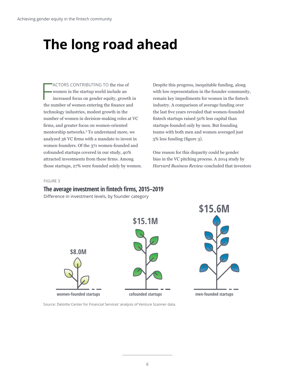# <span id="page-7-0"></span>**The long road ahead**

F ACTORS CONTRIBUTING TO the rise of women in the startup world include an increased focus on gender equity, growth in the number of women entering the finance and technology industries, modest growth in the number of women in decision-making roles at VC firms, and greater focus on women-oriented mentorship networks.9 To understand more, we analyzed 36 VC firms with a mandate to invest in women founders. Of the 371 women-founded and cofounded startups covered in our study, 40% attracted investments from these firms. Among those startups, 27% were founded solely by women.

Despite this progress, inequitable funding, along with low representation in the founder community, remain key impediments for women in the fintech industry. A comparison of average funding over the last five years revealed that women-founded fintech startups raised 50% less capital than startups founded only by men. But founding teams with both men and women averaged just 3% less funding (figure 3).

One reason for this disparity could be gender bias in the VC pitching process. A 2014 study by *Harvard Business Review* concluded that investors

### FIGURE 3

### **The average investment in fintech firms, 2015–2019**

Difference in investment levels, by founder category



Source: Deloitte Center for Financial Services' analysis of Venture Scanner data.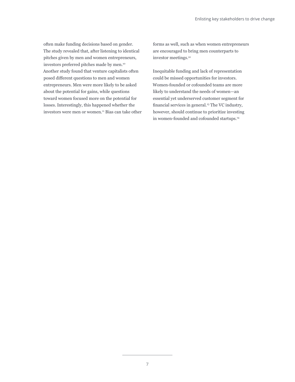often make funding decisions based on gender. The study revealed that, after listening to identical pitches given by men and women entrepreneurs, investors preferred pitches made by men.10 Another study found that venture capitalists often posed different questions to men and women entrepreneurs. Men were more likely to be asked about the potential for gains, while questions toward women focused more on the potential for losses. Interestingly, this happened whether the investors were men or women.<sup>11</sup> Bias can take other

forms as well, such as when women entrepreneurs are encouraged to bring men counterparts to investor meetings.<sup>12</sup>

Inequitable funding and lack of representation could be missed opportunities for investors. Women-founded or cofounded teams are more likely to understand the needs of women—an essential yet underserved customer segment for financial services in general.<sup>13</sup> The VC industry, however, should continue to prioritize investing in women-founded and cofounded startups.<sup>14</sup>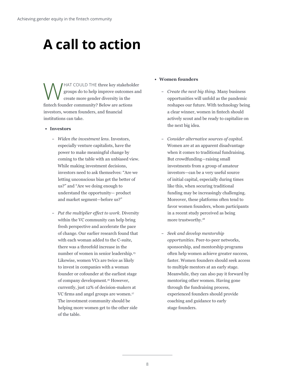# <span id="page-9-0"></span>**A call to action**

HAT COULD THE three key stakeholder groups do to help improve outcomes and create more gender diversity in the fintech founder community? Below are actions investors, women founders, and financial institutions can take.

- **• Investors**
	- *Widen the investment lens.* Investors, especially venture capitalists, have the power to make meaningful change by coming to the table with an unbiased view. While making investment decisions, investors need to ask themselves: "Are we letting unconscious bias get the better of us?" and "Are we doing enough to understand the opportunity— product and market segment—before us?"
	- *Put the multiplier effect to work.* Diversity within the VC community can help bring fresh perspective and accelerate the pace of change. Our earlier research found that with each woman added to the C-suite, there was a threefold increase in the number of women in senior leadership.<sup>15</sup> Likewise, women VCs are twice as likely to invest in companies with a woman founder or cofounder at the earliest stage of company development.16 However, currently, just 12% of decision-makers at VC firms and angel groups are women.<sup>17</sup> The investment community should be helping more women get to the other side of the table.

### **• Women founders**

- *Create the next big thing.* Many business opportunities will unfold as the pandemic reshapes our future. With technology being a clear winner, women in fintech should actively scout and be ready to capitalize on the next big idea.
- *Consider alternative sources of capital.* Women are at an apparent disadvantage when it comes to traditional fundraising. But crowdfunding—raising small investments from a group of amateur investors—can be a very useful source of initial capital, especially during times like this, when securing traditional funding may be increasingly challenging. Moreover, these platforms often tend to favor women founders, whom participants in a recent study perceived as being more trustworthy.18
- *Seek and develop mentorship opportunities.* Peer-to-peer networks, sponsorship, and mentorship programs often help women achieve greater success, faster. Women founders should seek access to multiple mentors at an early stage. Meanwhile, they can also pay it forward by mentoring other women. Having gone through the fundraising process, experienced founders should provide coaching and guidance to early stage founders.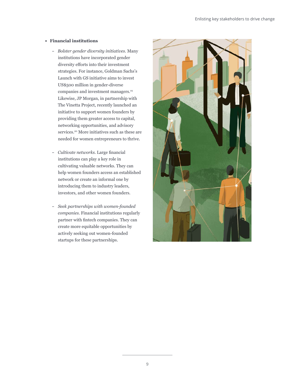#### **• Financial institutions**

- *Bolster gender diversity initiatives.* Many institutions have incorporated gender diversity efforts into their investment strategies. For instance, Goldman Sachs's Launch with GS initiative aims to invest US\$500 million in gender-diverse companies and investment managers.19 Likewise, JP Morgan, in partnership with The Vinetta Project, recently launched an initiative to support women founders by providing them greater access to capital, networking opportunities, and advisory services.<sup>20</sup> More initiatives such as these are needed for women entrepreneurs to thrive.
- *Cultivate networks.* Large financial institutions can play a key role in cultivating valuable networks. They can help women founders access an established network or create an informal one by introducing them to industry leaders, investors, and other women founders.
- *Seek partnerships with women-founded companies.* Financial institutions regularly partner with fintech companies. They can create more equitable opportunities by actively seeking out women-founded startups for these partnerships.

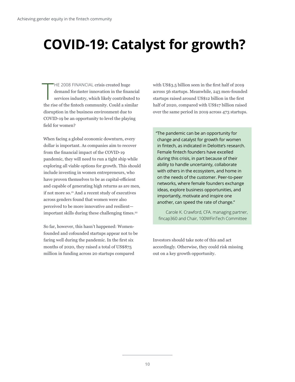# <span id="page-11-0"></span>**COVID-19: Catalyst for growth?**

 $\prod_{\text{max}}$ HE 2008 FINANCIAL crisis created huge demand for faster innovation in the financial services industry, which likely contributed to the rise of the fintech community. Could a similar disruption in the business environment due to COVID-19 be an opportunity to level the playing field for women?

When facing a global economic downturn, every dollar is important. As companies aim to recover from the financial impact of the COVID-19 pandemic, they will need to run a tight ship while exploring all viable options for growth. This should include investing in women entrepreneurs, who have proven themselves to be as capital-efficient and capable of generating high returns as are men, if not more so.21 And a recent study of executives across genders found that women were also perceived to be more innovative and resilient important skills during these challenging times.<sup>22</sup>

So far, however, this hasn't happened: Womenfounded and cofounded startups appear not to be faring well during the pandemic. In the first six months of 2020, they raised a total of US\$875 million in funding across 20 startups compared

with US\$3.5 billion seen in the first half of 2019 across 56 startups. Meanwhile, 243 men-founded startups raised around US\$12 billion in the first half of 2020, compared with US\$17 billion raised over the same period in 2019 across 473 startups.

"The pandemic can be an opportunity for change and catalyst for growth for women in fintech, as indicated in Deloitte's research. Female fintech founders have excelled during this crisis, in part because of their ability to handle uncertainty, collaborate with others in the ecosystem, and home in on the needs of the customer. Peer-to-peer networks, where female founders exchange ideas, explore business opportunities, and importantly, motivate and inspire one another, can speed the rate of change."

Carole K. Crawford, CFA. managing partner, fincap360 and Chair, 100WFinTech Committee

Investors should take note of this and act accordingly. Otherwise, they could risk missing out on a key growth opportunity.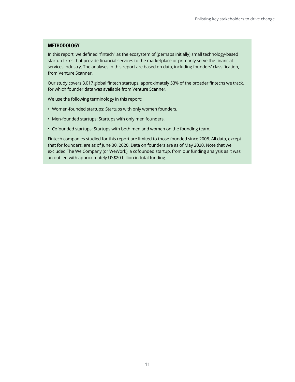### **METHODOLOGY**

In this report, we defined "fintech" as the ecosystem of (perhaps initially) small technology-based startup firms that provide financial services to the marketplace or primarily serve the financial services industry. The analyses in this report are based on data, including founders' classification, from Venture Scanner.

Our study covers 3,017 global fintech startups, approximately 53% of the broader fintechs we track, for which founder data was available from Venture Scanner.

We use the following terminology in this report:

- Women-founded startups: Startups with only women founders.
- Men-founded startups: Startups with only men founders.
- Cofounded startups: Startups with both men and women on the founding team.

Fintech companies studied for this report are limited to those founded since 2008. All data, except that for founders, are as of June 30, 2020. Data on founders are as of May 2020. Note that we excluded The We Company (or WeWork), a cofounded startup, from our funding analysis as it was an outlier, with approximately US\$20 billion in total funding.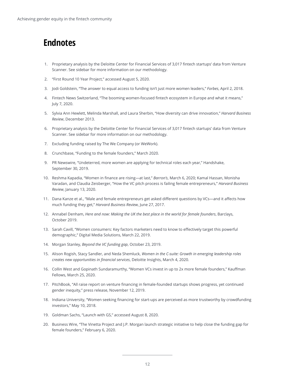## <span id="page-13-0"></span>**Endnotes**

- 1. Proprietary analysis by the Deloitte Center for Financial Services of 3,017 fintech startups' data from Venture Scanner. See sidebar for more information on our methodology.
- 2. "First Round 10 Year Project," accessed August 5, 2020.
- 3. Jodi Goldstein, "The answer to equal access to funding isn't just more women leaders," *Forbes*, April 2, 2018.
- 4. Fintech News Switzerland, "The booming women-focused fintech ecosystem in Europe and what it means," July 7, 2020.
- 5. Sylvia Ann Hewlett, Melinda Marshall, and Laura Sherbin, "How diversity can drive innovation," *Harvard Business Review*, December 2013.
- 6. Proprietary analysis by the Deloitte Center for Financial Services of 3,017 fintech startups' data from Venture Scanner. See sidebar for more information on our methodology.
- 7. Excluding funding raised by The We Company (or WeWork).
- 8. Crunchbase, "Funding to the female founders," March 2020.
- 9. PR Newswire, "Undeterred, more women are applying for technical roles each year," Handshake, September 30, 2019.
- 10. Reshma Kapadia, "Women in finance are rising—at last," *Barron's*, March 6, 2020; Kamal Hassan, Monisha Varadan, and Claudia Zeisberger, "How the VC pitch process is failing female entrepreneurs," *Harvard Business Review*, January 13, 2020.
- 11. Dana Kanze et al., "Male and female entrepreneurs get asked different questions by VCs—and it affects how much funding they get," *Harvard Business Review*, June 27, 2017.
- 12. Annabel Denham, *Here and now: Making the UK the best place in the world for female founders*, Barclays, October 2019.
- 13. Sarah Cavill, "Women consumers: Key factors marketers need to know to effectively target this powerful demographic," Digital Media Solutions, March 22, 2019.
- 14. Morgan Stanley, *Beyond the VC funding gap*, October 23, 2019.
- 15. Alison Rogish, Stacy Sandler, and Neda Shemluck, *Women in the C-suite: Growth in emerging leadership roles creates new opportunities in financial services*, Deloitte Insights, March 4, 2020.
- 16. Collin West and Gopinath Sundaramurthy, "Women VCs invest in up to 2x more female founders," Kauffman Fellows, March 25, 2020.
- 17. PitchBook, "All raise report on venture financing in female-founded startups shows progress, yet continued gender inequity," press release, November 12, 2019.
- 18. Indiana University, "Women seeking financing for start-ups are perceived as more trustworthy by crowdfunding investors," May 10, 2018.
- 19. Goldman Sachs, "Launch with GS," accessed August 8, 2020.
- 20. Business Wire, "The Vinetta Project and J.P. Morgan launch strategic initiative to help close the funding gap for female founders," February 6, 2020.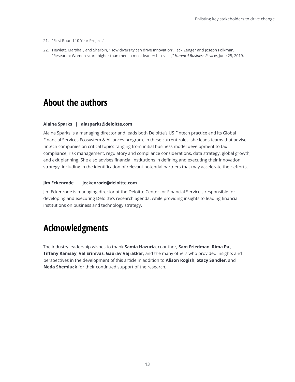- 21. "First Round 10 Year Project."
- 22. Hewlett, Marshall, and Sherbin, "How diversity can drive innovation"; Jack Zenger and Joseph Folkman, "Research: Women score higher than men in most leadership skills," *Harvard Business Review*, June 25, 2019.

## **About the authors**

#### **Alaina Sparks | alasparks@deloitte.com**

Alaina Sparks is a managing director and leads both Deloitte's US Fintech practice and its Global Financial Services Ecosystem & Alliances program. In these current roles, she leads teams that advise fintech companies on critical topics ranging from initial business model development to tax compliance, risk management, regulatory and compliance considerations, data strategy, global growth, and exit planning. She also advises financial institutions in defining and executing their innovation strategy, including in the identification of relevant potential partners that may accelerate their efforts.

### **Jim Eckenrode | jeckenrode@deloitte.com**

Jim Eckenrode is managing director at the Deloitte Center for Financial Services, responsible for developing and executing Deloitte's research agenda, while providing insights to leading financial institutions on business and technology strategy.

## **Acknowledgments**

The industry leadership wishes to thank **Samia Hazuria**, coauthor, **Sam Friedman**, **Rima Pa**i, **Tiffany Ramsay**, **Val Srinivas**, **Gaurav Vajratkar**, and the many others who provided insights and perspectives in the development of this article in addition to **Alison Rogish**, **Stacy Sandler**, and **Neda Shemluck** for their continued support of the research.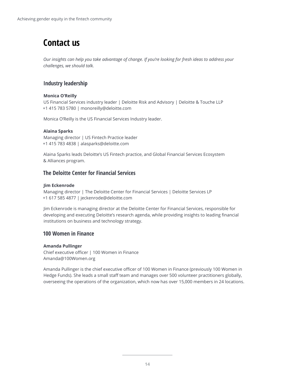## **Contact us**

*Our insights can help you take advantage of change. If you're looking for fresh ideas to address your challenges, we should talk.*

## **Industry leadership**

### **Monica O'Reilly**

US Financial Services industry leader | Deloitte Risk and Advisory | Deloitte & Touche LLP +1 415 783 5780 | monoreilly@deloitte.com

Monica O'Reilly is the US Financial Services Industry leader.

### **Alaina Sparks**

Managing director | US Fintech Practice leader +1 415 783 4838 | alasparks@deloitte.com

Alaina Sparks leads Deloitte's US Fintech practice, and Global Financial Services Ecosystem & Alliances program.

## **The Deloitte Center for Financial Services**

### **Jim Eckenrode**

Managing director | The Deloitte Center for Financial Services | Deloitte Services LP +1 617 585 4877 | jeckenrode@deloitte.com

Jim Eckenrode is managing director at the Deloitte Center for Financial Services, responsible for developing and executing Deloitte's research agenda, while providing insights to leading financial institutions on business and technology strategy.

### **100 Women in Finance**

### **Amanda Pullinger**

Chief executive officer | 100 Women in Finance Amanda@100Women.org

Amanda Pullinger is the chief executive officer of 100 Women in Finance (previously 100 Women in Hedge Funds). She leads a small staff team and manages over 500 volunteer practitioners globally, overseeing the operations of the organization, which now has over 15,000 members in 24 locations.